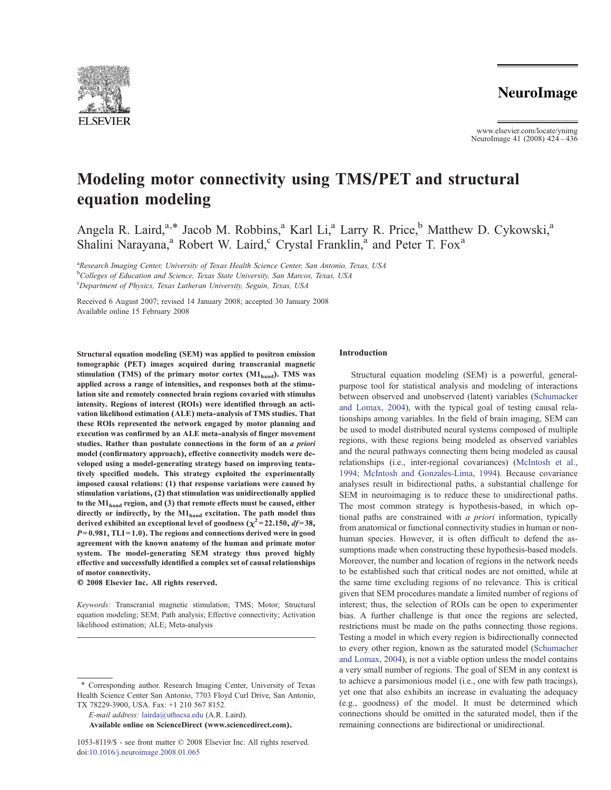**ELSEVIER** 

**NeuroImage** 

www.elsevier.com/locate/ynimg NeuroImage 41 (2008) 424–436

# Modeling motor connectivity using TMS/PET and structural equation modeling

Angela R. Laird,<sup>a,\*</sup> Jacob M. Robbins,<sup>a</sup> Karl Li,<sup>a</sup> Larry R. Price,<sup>b</sup> Matthew D. Cykowski,<sup>a</sup> Shalini Narayana,<sup>a</sup> Robert W. Laird,<sup>c</sup> Crystal Franklin,<sup>a</sup> and Peter T. Fox<sup>a</sup>

<sup>a</sup> Research Imaging Center, University of Texas Health Science Center, San Antonio, Texas, USA <sup>b</sup>Colleges of Education and Science, Texas State University, San Marcos, Texas, USA c Department of Physics, Texas Lutheran University, Seguin, Texas, USA

Received 6 August 2007; revised 14 January 2008; accepted 30 January 2008 Available online 15 February 2008

Structural equation modeling (SEM) was applied to positron emission tomographic (PET) images acquired during transcranial magnetic stimulation (TMS) of the primary motor cortex (M1<sub>hand</sub>). TMS was applied across a range of intensities, and responses both at the stimulation site and remotely connected brain regions covaried with stimulus intensity. Regions of interest (ROIs) were identified through an activation likelihood estimation (ALE) meta-analysis of TMS studies. That these ROIs represented the network engaged by motor planning and execution was confirmed by an ALE meta-analysis of finger movement studies. Rather than postulate connections in the form of an a priori model (confirmatory approach), effective connectivity models were developed using a model-generating strategy based on improving tentatively specified models. This strategy exploited the experimentally imposed causal relations: (1) that response variations were caused by stimulation variations, (2) that stimulation was unidirectionally applied to the M1hand region, and (3) that remote effects must be caused, either directly or indirectly, by the  $M1<sub>hand</sub>$  excitation. The path model thus derived exhibited an exceptional level of goodness ( $\chi^2$ =22.150, df=38,  $P= 0.981$ , TLI=1.0). The regions and connections derived were in good agreement with the known anatomy of the human and primate motor system. The model-generating SEM strategy thus proved highly effective and successfully identified a complex set of causal relationships of motor connectivity.

© 2008 Elsevier Inc. All rights reserved.

Keywords: Transcranial magnetic stimulation; TMS; Motor; Structural equation modeling; SEM; Path analysis; Effective connectivity; Activation likelihood estimation; ALE; Meta-analysis

E-mail address: lairda@uthscsa.edu (A.R. Laird). Available online on ScienceDirect (www.sciencedirect.com).

# Introduction

Structural equation modeling (SEM) is a powerful, generalpurpose tool for statistical analysis and modeling of interactions between observed and unobserved (latent) variables (Schumacker and Lomax, 2004), with the typical goal of testing causal relationships among variables. In the field of brain imaging, SEM can be used to model distributed neural systems composed of multiple regions, with these regions being modeled as observed variables and the neural pathways connecting them being modeled as causal relationships (i.e., inter-regional covariances) (McIntosh et al., 1994; McIntosh and Gonzales-Lima, 1994). Because covariance analyses result in bidirectional paths, a substantial challenge for SEM in neuroimaging is to reduce these to unidirectional paths. The most common strategy is hypothesis-based, in which optional paths are constrained with a priori information, typically from anatomical or functional connectivity studies in human or nonhuman species. However, it is often difficult to defend the assumptions made when constructing these hypothesis-based models. Moreover, the number and location of regions in the network needs to be established such that critical nodes are not omitted, while at the same time excluding regions of no relevance. This is critical given that SEM procedures mandate a limited number of regions of interest; thus, the selection of ROIs can be open to experimenter bias. A further challenge is that once the regions are selected, restrictions must be made on the paths connecting those regions. Testing a model in which every region is bidirectionally connected to every other region, known as the saturated model (Schumacher and Lomax, 2004), is not a viable option unless the model contains a very small number of regions. The goal of SEM in any context is to achieve a parsimonious model (i.e., one with few path tracings), yet one that also exhibits an increase in evaluating the adequacy (e.g., goodness) of the model. It must be determined which connections should be omitted in the saturated model, then if the remaining connections are bidirectional or unidirectional.

<sup>⁎</sup> Corresponding author. Research Imaging Center, University of Texas Health Science Center San Antonio, 7703 Floyd Curl Drive, San Antonio, TX 78229-3900, USA. Fax: +1 210 567 8152.

<sup>1053-8119/\$ -</sup> see front matter © 2008 Elsevier Inc. All rights reserved. doi:10.1016/j.neuroimage.2008.01.065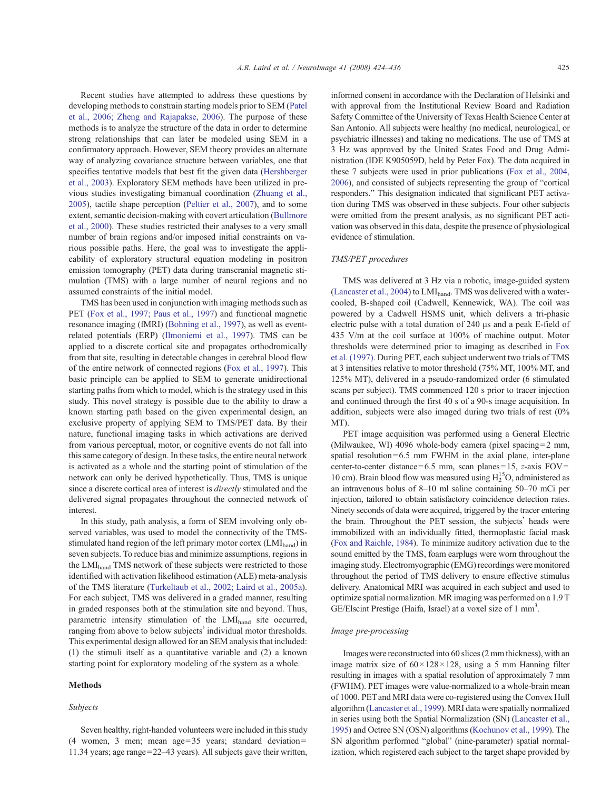Recent studies have attempted to address these questions by developing methods to constrain starting models prior to SEM (Patel et al., 2006; Zheng and Rajapakse, 2006). The purpose of these methods is to analyze the structure of the data in order to determine strong relationships that can later be modeled using SEM in a confirmatory approach. However, SEM theory provides an alternate way of analyzing covariance structure between variables, one that specifies tentative models that best fit the given data (Hershberger et al., 2003). Exploratory SEM methods have been utilized in previous studies investigating bimanual coordination (Zhuang et al., 2005), tactile shape perception (Peltier et al., 2007), and to some extent, semantic decision-making with covert articulation (Bullmore et al., 2000). These studies restricted their analyses to a very small number of brain regions and/or imposed initial constraints on various possible paths. Here, the goal was to investigate the applicability of exploratory structural equation modeling in positron emission tomography (PET) data during transcranial magnetic stimulation (TMS) with a large number of neural regions and no assumed constraints of the initial model.

TMS has been used in conjunction with imaging methods such as PET (Fox et al., 1997; Paus et al., 1997) and functional magnetic resonance imaging (fMRI) (Bohning et al., 1997), as well as eventrelated potentials (ERP) (Ilmoniemi et al., 1997). TMS can be applied to a discrete cortical site and propagates orthodromically from that site, resulting in detectable changes in cerebral blood flow of the entire network of connected regions (Fox et al., 1997). This basic principle can be applied to SEM to generate unidirectional starting paths from which to model, which is the strategy used in this study. This novel strategy is possible due to the ability to draw a known starting path based on the given experimental design, an exclusive property of applying SEM to TMS/PET data. By their nature, functional imaging tasks in which activations are derived from various perceptual, motor, or cognitive events do not fall into this same category of design. In these tasks, the entire neural network is activated as a whole and the starting point of stimulation of the network can only be derived hypothetically. Thus, TMS is unique since a discrete cortical area of interest is *directly* stimulated and the delivered signal propagates throughout the connected network of interest.

In this study, path analysis, a form of SEM involving only observed variables, was used to model the connectivity of the TMSstimulated hand region of the left primary motor cortex (LMI<sub>hand</sub>) in seven subjects. To reduce bias and minimize assumptions, regions in the LMI<sub>hand</sub> TMS network of these subjects were restricted to those identified with activation likelihood estimation (ALE) meta-analysis of the TMS literature (Turkeltaub et al., 2002; Laird et al., 2005a). For each subject, TMS was delivered in a graded manner, resulting in graded responses both at the stimulation site and beyond. Thus, parametric intensity stimulation of the LMI<sub>hand</sub> site occurred, ranging from above to below subjects' individual motor thresholds. This experimental design allowed for an SEM analysis that included: (1) the stimuli itself as a quantitative variable and (2) a known starting point for exploratory modeling of the system as a whole.

# Methods

# Subjects

Seven healthy, right-handed volunteers were included in this study (4 women, 3 men; mean age= 35 years; standard deviation = 11.34 years; age range = 22–43 years). All subjects gave their written,

informed consent in accordance with the Declaration of Helsinki and with approval from the Institutional Review Board and Radiation Safety Committee of the University of Texas Health Science Center at San Antonio. All subjects were healthy (no medical, neurological, or psychiatric illnesses) and taking no medications. The use of TMS at 3 Hz was approved by the United States Food and Drug Administration (IDE K905059D, held by Peter Fox). The data acquired in these 7 subjects were used in prior publications (Fox et al., 2004, 2006), and consisted of subjects representing the group of "cortical responders." This designation indicated that significant PET activation during TMS was observed in these subjects. Four other subjects were omitted from the present analysis, as no significant PET activation was observed in this data, despite the presence of physiological evidence of stimulation.

### TMS/PET procedures

TMS was delivered at 3 Hz via a robotic, image-guided system (Lancaster et al., 2004) to  $LMI<sub>hand</sub>$ . TMS was delivered with a watercooled, B-shaped coil (Cadwell, Kennewick, WA). The coil was powered by a Cadwell HSMS unit, which delivers a tri-phasic electric pulse with a total duration of 240 μs and a peak E-field of 435 V/m at the coil surface at 100% of machine output. Motor thresholds were determined prior to imaging as described in Fox et al. (1997). During PET, each subject underwent two trials of TMS at 3 intensities relative to motor threshold (75% MT, 100% MT, and 125% MT), delivered in a pseudo-randomized order (6 stimulated scans per subject). TMS commenced 120 s prior to tracer injection and continued through the first 40 s of a 90-s image acquisition. In addition, subjects were also imaged during two trials of rest (0% MT).

PET image acquisition was performed using a General Electric (Milwaukee, WI) 4096 whole-body camera (pixel spacing  $=$  2 mm, spatial resolution = 6.5 mm FWHM in the axial plane, inter-plane center-to-center distance= 6.5 mm, scan planes = 15, z-axis FOV= 10 cm). Brain blood flow was measured using  $H_2^{15}O$ , administered as an intravenous bolus of 8–10 ml saline containing 50–70 mCi per injection, tailored to obtain satisfactory coincidence detection rates. Ninety seconds of data were acquired, triggered by the tracer entering the brain. Throughout the PET session, the subjects' heads were immobilized with an individually fitted, thermoplastic facial mask (Fox and Raichle, 1984). To minimize auditory activation due to the sound emitted by the TMS, foam earplugs were worn throughout the imaging study. Electromyographic (EMG) recordings were monitored throughout the period of TMS delivery to ensure effective stimulus delivery. Anatomical MRI was acquired in each subject and used to optimize spatial normalization. MR imaging was performed on a 1.9 T GE/Elscint Prestige (Haifa, Israel) at a voxel size of 1 mm<sup>3</sup>.

#### Image pre-processing

Images were reconstructed into 60 slices (2 mm thickness), with an image matrix size of  $60 \times 128 \times 128$ , using a 5 mm Hanning filter resulting in images with a spatial resolution of approximately 7 mm (FWHM). PET images were value-normalized to a whole-brain mean of 1000. PET and MRI data were co-registered using the Convex Hull algorithm (Lancaster et al., 1999). MRI data were spatially normalized in series using both the Spatial Normalization (SN) (Lancaster et al., 1995) and Octree SN (OSN) algorithms (Kochunov et al., 1999). The SN algorithm performed "global" (nine-parameter) spatial normalization, which registered each subject to the target shape provided by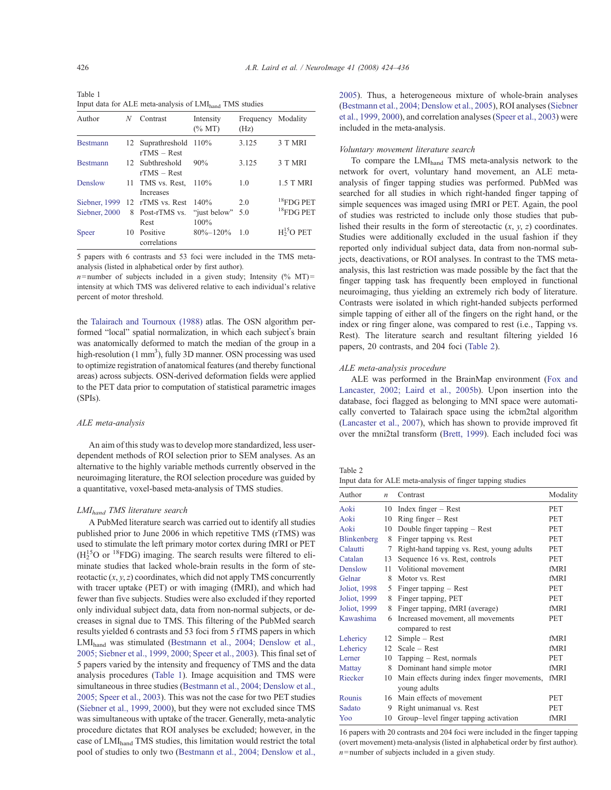Table 1 Input data for ALE meta-analysis of LMIhand TMS studies

| Author          | N               | Contrast                             | Intensity<br>$(\%$ MT) | Frequency Modality<br>(Hz) |                 |
|-----------------|-----------------|--------------------------------------|------------------------|----------------------------|-----------------|
| <b>Bestmann</b> |                 | 12 Suprathreshold<br>$rTMS - Rest$   | 110%                   | 3.125                      | 3 T MRI         |
| <b>Bestmann</b> | 12 <sub>1</sub> | Subthreshold<br>$rTMS - Rest$        | 90%                    | 3.125                      | 3 T MRI         |
| Denslow         |                 | 11 TMS vs. Rest,<br><b>Increases</b> | 110%                   | 1.0                        | 1.5 T MRI       |
| Siebner, 1999   |                 | 12 rTMS vs. Rest                     | 140%                   | 2.0                        | $^{18}$ FDG PET |
| Siebner, 2000   |                 | 8 Post-rTMS vs.<br>Rest              | "just below"<br>100%   | 5.0                        | $18$ FDG PET    |
| <b>Speer</b>    | 10              | Positive<br>correlations             | $80\% - 120\%$         | 10                         | $H_2^{15}O$ PET |

5 papers with 6 contrasts and 53 foci were included in the TMS metaanalysis (listed in alphabetical order by first author).

 $n$ = number of subjects included in a given study; Intensity (% MT) = intensity at which TMS was delivered relative to each individual's relative percent of motor threshold.

the Talairach and Tournoux (1988) atlas. The OSN algorithm performed "local" spatial normalization, in which each subject's brain was anatomically deformed to match the median of the group in a high-resolution (1 mm<sup>3</sup>), fully 3D manner. OSN processing was used to optimize registration of anatomical features (and thereby functional areas) across subjects. OSN-derived deformation fields were applied to the PET data prior to computation of statistical parametric images (SPIs).

#### ALE meta-analysis

An aim of this study was to develop more standardized, less userdependent methods of ROI selection prior to SEM analyses. As an alternative to the highly variable methods currently observed in the neuroimaging literature, the ROI selection procedure was guided by a quantitative, voxel-based meta-analysis of TMS studies.

# LMIhand TMS literature search

A PubMed literature search was carried out to identify all studies published prior to June 2006 in which repetitive TMS (rTMS) was used to stimulate the left primary motor cortex during fMRI or PET  $(H_2^{15}O)$  or  $^{18}$ FDG) imaging. The search results were filtered to eliminate studies that lacked whole-brain results in the form of stereotactic  $(x, y, z)$  coordinates, which did not apply TMS concurrently with tracer uptake (PET) or with imaging (fMRI), and which had fewer than five subjects. Studies were also excluded if they reported only individual subject data, data from non-normal subjects, or decreases in signal due to TMS. This filtering of the PubMed search results yielded 6 contrasts and 53 foci from 5 rTMS papers in which LMIhand was stimulated (Bestmann et al., 2004; Denslow et al., 2005; Siebner et al., 1999, 2000; Speer et al., 2003). This final set of 5 papers varied by the intensity and frequency of TMS and the data analysis procedures (Table 1). Image acquisition and TMS were simultaneous in three studies (Bestmann et al., 2004; Denslow et al., 2005; Speer et al., 2003). This was not the case for two PET studies (Siebner et al., 1999, 2000), but they were not excluded since TMS was simultaneous with uptake of the tracer. Generally, meta-analytic procedure dictates that ROI analyses be excluded; however, in the case of LMI<sub>hand</sub> TMS studies, this limitation would restrict the total pool of studies to only two (Bestmann et al., 2004; Denslow et al.,

2005). Thus, a heterogeneous mixture of whole-brain analyses (Bestmann et al., 2004; Denslow et al., 2005), ROI analyses (Siebner et al., 1999, 2000), and correlation analyses (Speer et al., 2003) were included in the meta-analysis.

#### Voluntary movement literature search

To compare the LMIhand TMS meta-analysis network to the network for overt, voluntary hand movement, an ALE metaanalysis of finger tapping studies was performed. PubMed was searched for all studies in which right-handed finger tapping of simple sequences was imaged using fMRI or PET. Again, the pool of studies was restricted to include only those studies that published their results in the form of stereotactic  $(x, y, z)$  coordinates. Studies were additionally excluded in the usual fashion if they reported only individual subject data, data from non-normal subjects, deactivations, or ROI analyses. In contrast to the TMS metaanalysis, this last restriction was made possible by the fact that the finger tapping task has frequently been employed in functional neuroimaging, thus yielding an extremely rich body of literature. Contrasts were isolated in which right-handed subjects performed simple tapping of either all of the fingers on the right hand, or the index or ring finger alone, was compared to rest (i.e., Tapping vs. Rest). The literature search and resultant filtering yielded 16 papers, 20 contrasts, and 204 foci (Table 2).

# ALE meta-analysis procedure

ALE was performed in the BrainMap environment (Fox and Lancaster, 2002; Laird et al., 2005b). Upon insertion into the database, foci flagged as belonging to MNI space were automatically converted to Talairach space using the icbm2tal algorithm (Lancaster et al., 2007), which has shown to provide improved fit over the mni2tal transform (Brett, 1999). Each included foci was

Table 2

| Input data for ALE meta-analysis of finger tapping studies |  |  |  |  |
|------------------------------------------------------------|--|--|--|--|
|------------------------------------------------------------|--|--|--|--|

| Author             | n  | Contrast                                    | Modality   |
|--------------------|----|---------------------------------------------|------------|
| Aoki               | 10 | Index finger $-$ Rest                       | <b>PET</b> |
| Aoki               | 10 | Ring finger $-$ Rest                        | <b>PET</b> |
| Aoki               | 10 | Double finger tapping - Rest                | PET        |
| <b>Blinkenberg</b> | 8  | Finger tapping vs. Rest                     | <b>PET</b> |
| Calautti           | 7  | Right-hand tapping vs. Rest, young adults   | <b>PET</b> |
| Catalan            | 13 | Sequence 16 vs. Rest, controls              | <b>PET</b> |
| Denslow            | 11 | Volitional movement                         | fMRI       |
| Gelnar             | 8  | Motor vs. Rest                              | fMRI       |
| Joliot, 1998       | 5  | Finger tapping $-$ Rest                     | PET        |
| Joliot, 1999       | 8  | Finger tapping, PET                         | PET        |
| Joliot, 1999       | 8  | Finger tapping, fMRI (average)              | fMRI       |
| Kawashima          | 6  | Increased movement, all movements           | PET        |
|                    |    | compared to rest                            |            |
| Lehericy           | 12 | $Simple - Rest$                             | fMRI       |
| Lehericy           | 12 | $Scale - Rest$                              | fMRI       |
| Lerner             | 10 | Tapping $-$ Rest, normals                   | <b>PET</b> |
| Mattay             | 8  | Dominant hand simple motor                  | fMRI       |
| Riecker            | 10 | Main effects during index finger movements, | fMRI       |
|                    |    | young adults                                |            |
| Rounis             | 16 | Main effects of movement                    | <b>PET</b> |
| Sadato             | 9  | Right unimanual vs. Rest                    | <b>PET</b> |
| Yoo                | 10 | Group-level finger tapping activation       | fMRI       |

16 papers with 20 contrasts and 204 foci were included in the finger tapping (overt movement) meta-analysis (listed in alphabetical order by first author).  $n$ = number of subjects included in a given study.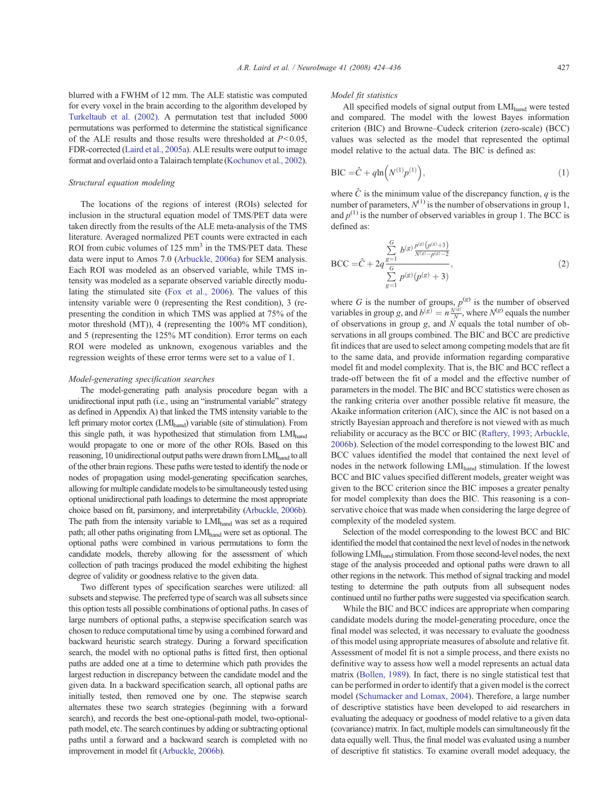blurred with a FWHM of 12 mm. The ALE statistic was computed for every voxel in the brain according to the algorithm developed by Turkeltaub et al. (2002). A permutation test that included 5000 permutations was performed to determine the statistical significance of the ALE results and those results were thresholded at  $P<0.05$ , FDR-corrected (Laird et al., 2005a). ALE results were output to image format and overlaid onto a Talairach template (Kochunov et al., 2002).

# Structural equation modeling

The locations of the regions of interest (ROIs) selected for inclusion in the structural equation model of TMS/PET data were taken directly from the results of the ALE meta-analysis of the TMS literature. Averaged normalized PET counts were extracted in each ROI from cubic volumes of  $125 \text{ mm}^3$  in the TMS/PET data. These data were input to Amos 7.0 (Arbuckle, 2006a) for SEM analysis. Each ROI was modeled as an observed variable, while TMS intensity was modeled as a separate observed variable directly modulating the stimulated site (Fox et al., 2006). The values of this intensity variable were 0 (representing the Rest condition), 3 (representing the condition in which TMS was applied at 75% of the motor threshold (MT)), 4 (representing the 100% MT condition), and 5 (representing the 125% MT condition). Error terms on each ROI were modeled as unknown, exogenous variables and the regression weights of these error terms were set to a value of 1.

# Model-generating specification searches

The model-generating path analysis procedure began with a unidirectional input path (i.e., using an "instrumental variable" strategy as defined in Appendix A) that linked the TMS intensity variable to the left primary motor cortex (LMI<sub>hand</sub>) variable (site of stimulation). From this single path, it was hypothesized that stimulation from LMI<sub>hand</sub> would propagate to one or more of the other ROIs. Based on this reasoning, 10 unidirectional output paths were drawn from LMI<sub>hand</sub> to all of the other brain regions. These paths were tested to identify the node or nodes of propagation using model-generating specification searches, allowing for multiple candidate models to be simultaneously tested using optional unidirectional path loadings to determine the most appropriate choice based on fit, parsimony, and interpretability (Arbuckle, 2006b). The path from the intensity variable to LMI<sub>hand</sub> was set as a required path; all other paths originating from LMI<sub>hand</sub> were set as optional. The optional paths were combined in various permutations to form the candidate models, thereby allowing for the assessment of which collection of path tracings produced the model exhibiting the highest degree of validity or goodness relative to the given data.

Two different types of specification searches were utilized: all subsets and stepwise. The preferred type of search was all subsets since this option tests all possible combinations of optional paths. In cases of large numbers of optional paths, a stepwise specification search was chosen to reduce computational time by using a combined forward and backward heuristic search strategy. During a forward specification search, the model with no optional paths is fitted first, then optional paths are added one at a time to determine which path provides the largest reduction in discrepancy between the candidate model and the given data. In a backward specification search, all optional paths are initially tested, then removed one by one. The stepwise search alternates these two search strategies (beginning with a forward search), and records the best one-optional-path model, two-optionalpath model, etc. The search continues by adding or subtracting optional paths until a forward and a backward search is completed with no improvement in model fit (Arbuckle, 2006b).

#### Model fit statistics

All specified models of signal output from LMI<sub>hand</sub> were tested and compared. The model with the lowest Bayes information criterion (BIC) and Browne–Cudeck criterion (zero-scale) (BCC) values was selected as the model that represented the optimal model relative to the actual data. The BIC is defined as:

$$
\text{BIC} = \hat{C} + q \ln \left( N^{(1)} p^{(1)} \right),\tag{1}
$$

where  $\hat{C}$  is the minimum value of the discrepancy function, q is the number of parameters,  $N^{(1)}$  is the number of observations in group 1, and  $p^{(1)}$  is the number of observed variables in group 1. The BCC is defined as:

$$
\text{BCC} = \hat{C} + 2q \frac{\sum\limits_{g=1}^{G} b^{(g)} \frac{p^{(g)}(p^{(g)}+3)}{N^{(g)}-p^{(g)}-2}}{\sum\limits_{g=1}^{G} p^{(g)}(p^{(g)}+3)},
$$
\n(2)

where G is the number of groups,  $p^{(g)}$  is the number of observed variables in group g, and  $b^{(g)} = n \frac{\dot{N}^{(g)}}{N}$ , where  $N^{(g)}$  equals the number of observations in group  $g$ , and  $N$  equals the total number of observations in all groups combined. The BIC and BCC are predictive fit indices that are used to select among competing models that are fit to the same data, and provide information regarding comparative model fit and model complexity. That is, the BIC and BCC reflect a trade-off between the fit of a model and the effective number of parameters in the model. The BIC and BCC statistics were chosen as the ranking criteria over another possible relative fit measure, the Akaike information criterion (AIC), since the AIC is not based on a strictly Bayesian approach and therefore is not viewed with as much reliability or accuracy as the BCC or BIC (Raftery, 1993; Arbuckle, 2006b). Selection of the model corresponding to the lowest BIC and BCC values identified the model that contained the next level of nodes in the network following LMI<sub>hand</sub> stimulation. If the lowest BCC and BIC values specified different models, greater weight was given to the BCC criterion since the BIC imposes a greater penalty for model complexity than does the BIC. This reasoning is a conservative choice that was made when considering the large degree of complexity of the modeled system.

Selection of the model corresponding to the lowest BCC and BIC identified the model that contained the next level of nodes in the network following LMI<sub>hand</sub> stimulation. From those second-level nodes, the next stage of the analysis proceeded and optional paths were drawn to all other regions in the network. This method of signal tracking and model testing to determine the path outputs from all subsequent nodes continued until no further paths were suggested via specification search.

While the BIC and BCC indices are appropriate when comparing candidate models during the model-generating procedure, once the final model was selected, it was necessary to evaluate the goodness of this model using appropriate measures of absolute and relative fit. Assessment of model fit is not a simple process, and there exists no definitive way to assess how well a model represents an actual data matrix (Bollen, 1989). In fact, there is no single statistical test that can be performed in order to identify that a given model is the correct model (Schumacker and Lomax, 2004). Therefore, a large number of descriptive statistics have been developed to aid researchers in evaluating the adequacy or goodness of model relative to a given data (covariance) matrix. In fact, multiple models can simultaneously fit the data equally well. Thus, the final model was evaluated using a number of descriptive fit statistics. To examine overall model adequacy, the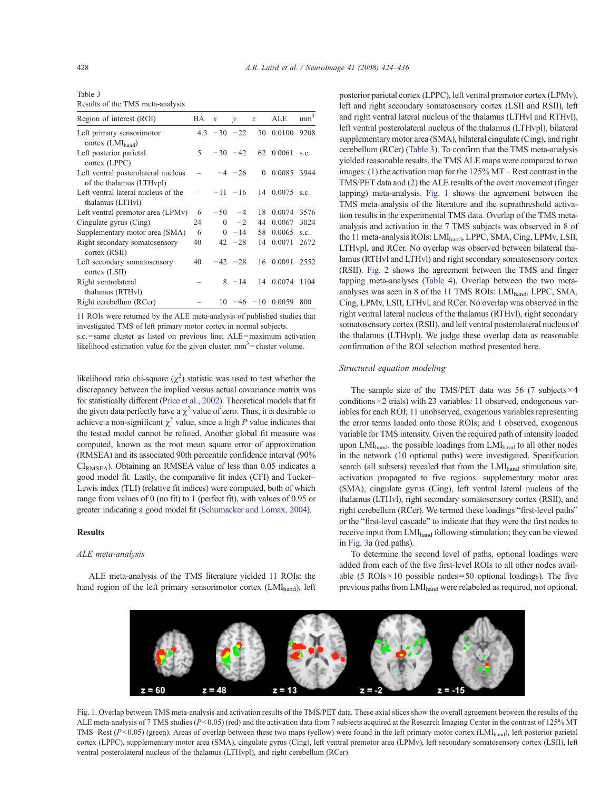| Table 3 |  |                                  |
|---------|--|----------------------------------|
|         |  | Results of the TMS meta-analysis |

| Region of interest (ROI)            | ВA             | $\mathcal{X}$ | $\mathcal{V}$ | Z            | ALE                        | mm <sup>3</sup> |
|-------------------------------------|----------------|---------------|---------------|--------------|----------------------------|-----------------|
| Left primary sensorimotor           | 4.3            |               | $-30 -22$     |              | 50 0.0100                  | 9208            |
| cortex $(LMI_{hand})$               |                |               |               |              |                            |                 |
| Left posterior parietal             | 5 <sup>1</sup> |               | $-30 -42$     |              | 62 0.0061 s.c.             |                 |
| cortex (LPPC)                       |                |               |               |              |                            |                 |
| Left ventral posterolateral nucleus |                |               | $-4$ $-26$    | $\theta$     | 0.0085 3944                |                 |
| of the thalamus (LTHvpl)            |                |               |               |              |                            |                 |
| Left ventral lateral nucleus of the |                |               |               |              | $-11$ $-16$ 14 0.0075 s.c. |                 |
| thalamus (LTHvl)                    |                |               |               |              |                            |                 |
| Left ventral premotor area (LPMv)   | 6              |               | $-50 - 4$     | 18           | 0.0074                     | 3576            |
| Cingulate gyrus (Cing)              | 24             | $\Omega$      | $-2$          | 44           | 0.0067                     | 3024            |
| Supplementary motor area (SMA)      | 6              |               | $0 - 14$      | 58.          | 0.0065                     | S.C.            |
| Right secondary somatosensory       | 40             |               | $42 -28$      | 14           | 0.0071                     | 2672            |
| cortex (RSII)                       |                |               |               |              |                            |                 |
| Left secondary somatosensory        | 40             |               | $-42 -28$     | 16           | 0.0091                     | 2552            |
| cortex (LSII)                       |                |               |               |              |                            |                 |
| Right ventrolateral                 |                |               | $8 - 14$      | 14           | 0.0074 1104                |                 |
| thalamus (RTHvl)                    |                |               |               |              |                            |                 |
| Right cerebellum (RCer)             |                |               |               | $10 -46 -10$ | 0.0059                     | 800             |

11 ROIs were returned by the ALE meta-analysis of published studies that investigated TMS of left primary motor cortex in normal subjects.

s.c. = same cluster as listed on previous line; ALE =maximum activation likelihood estimation value for the given cluster;  $mm<sup>3</sup>$  = cluster volume.

likelihood ratio chi-square  $(\chi^2)$  statistic was used to test whether the discrepancy between the implied versus actual covariance matrix was for statistically different (Price et al., 2002). Theoretical models that fit the given data perfectly have a  $\chi^2$  value of zero. Thus, it is desirable to achieve a non-significant  $\chi^2$  value, since a high P value indicates that the tested model cannot be refuted. Another global fit measure was computed, known as the root mean square error of approximation (RMSEA) and its associated 90th percentile confidence interval (90%  $CI<sub>RMSEA</sub>$ ). Obtaining an RMSEA value of less than 0.05 indicates a good model fit. Lastly, the comparative fit index (CFI) and Tucker– Lewis index (TLI) (relative fit indices) were computed, both of which range from values of 0 (no fit) to 1 (perfect fit), with values of 0.95 or greater indicating a good model fit (Schumacker and Lomax, 2004).

# Results

#### ALE meta-analysis

ALE meta-analysis of the TMS literature yielded 11 ROIs: the hand region of the left primary sensorimotor cortex (LMI<sub>hand</sub>), left posterior parietal cortex (LPPC), left ventral premotor cortex (LPMv), left and right secondary somatosensory cortex (LSII and RSII), left and right ventral lateral nucleus of the thalamus (LTHvl and RTHvl), left ventral posterolateral nucleus of the thalamus (LTHvpl), bilateral supplementary motor area (SMA), bilateral cingulate (Cing), and right cerebellum (RCer) (Table 3). To confirm that the TMS meta-analysis yielded reasonable results, the TMS ALE maps were compared to two images: (1) the activation map for the 125% MT – Rest contrast in the TMS/PET data and (2) the ALE results of the overt movement (finger tapping) meta-analysis. Fig. 1 shows the agreement between the TMS meta-analysis of the literature and the suprathreshold activation results in the experimental TMS data. Overlap of the TMS metaanalysis and activation in the 7 TMS subjects was observed in 8 of the 11 meta-analysis ROIs: LMI<sub>hand</sub>, LPPC, SMA, Cing, LPMv, LSII, LTHvpl, and RCer. No overlap was observed between bilateral thalamus (RTHvl and LTHvl) and right secondary somatosensory cortex (RSII). Fig. 2 shows the agreement between the TMS and finger tapping meta-analyses (Table 4). Overlap between the two metaanalyses was seen in 8 of the 11 TMS ROIs: LMI<sub>hand</sub>, LPPC, SMA, Cing, LPMv, LSII, LTHvl, and RCer. No overlap was observed in the right ventral lateral nucleus of the thalamus (RTHvl), right secondary somatosensory cortex (RSII), and left ventral posterolateral nucleus of the thalamus (LTHvpl). We judge these overlap data as reasonable confirmation of the ROI selection method presented here.

# Structural equation modeling

The sample size of the TMS/PET data was 56 (7 subjects  $\times$  4 conditions×2 trials) with 23 variables: 11 observed, endogenous variables for each ROI; 11 unobserved, exogenous variables representing the error terms loaded onto those ROIs; and 1 observed, exogenous variable for TMS intensity. Given the required path of intensity loaded upon LMI<sub>hand</sub>, the possible loadings from LMI<sub>hand</sub> to all other nodes in the network (10 optional paths) were investigated. Specification search (all subsets) revealed that from the LMI<sub>hand</sub> stimulation site, activation propagated to five regions: supplementary motor area (SMA), cingulate gyrus (Cing), left ventral lateral nucleus of the thalamus (LTHvl), right secondary somatosensory cortex (RSII), and right cerebellum (RCer). We termed these loadings "first-level paths" or the "first-level cascade" to indicate that they were the first nodes to receive input from LMI<sub>hand</sub> following stimulation; they can be viewed in Fig. 3a (red paths).

To determine the second level of paths, optional loadings were added from each of the five first-level ROIs to all other nodes available (5 ROIs $\times$ 10 possible nodes = 50 optional loadings). The five previous paths from LMI<sub>hand</sub> were relabeled as required, not optional.



Fig. 1. Overlap between TMS meta-analysis and activation results of the TMS/PET data. These axial slices show the overall agreement between the results of the ALE meta-analysis of 7 TMS studies ( $P < 0.05$ ) (red) and the activation data from 7 subjects acquired at the Research Imaging Center in the contrast of 125% MT TMS–Rest  $(P<0.05)$  (green). Areas of overlap between these two maps (yellow) were found in the left primary motor cortex (LMI<sub>hand</sub>), left posterior parietal cortex (LPPC), supplementary motor area (SMA), cingulate gyrus (Cing), left ventral premotor area (LPMv), left secondary somatosensory cortex (LSII), left ventral posterolateral nucleus of the thalamus (LTHvpl), and right cerebellum (RCer).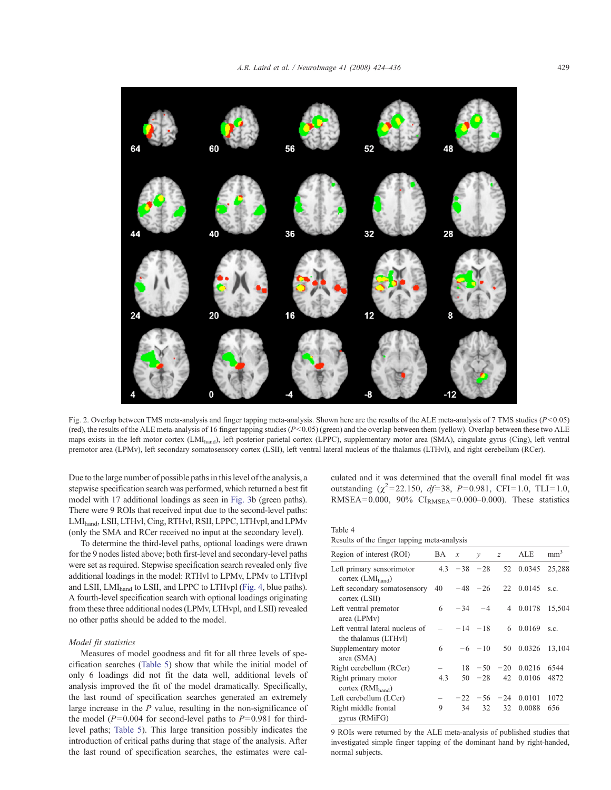

Fig. 2. Overlap between TMS meta-analysis and finger tapping meta-analysis. Shown here are the results of the ALE meta-analysis of 7 TMS studies ( $P<0.05$ ) (red), the results of the ALE meta-analysis of 16 finger tapping studies  $(P<0.05)$  (green) and the overlap between them (yellow). Overlap between these two ALE maps exists in the left motor cortex (LMI<sub>hand</sub>), left posterior parietal cortex (LPPC), supplementary motor area (SMA), cingulate gyrus (Cing), left ventral premotor area (LPMv), left secondary somatosensory cortex (LSII), left ventral lateral nucleus of the thalamus (LTHvl), and right cerebellum (RCer).

Due to the large number of possible paths in this level of the analysis, a stepwise specification search was performed, which returned a best fit model with 17 additional loadings as seen in Fig. 3b (green paths). There were 9 ROIs that received input due to the second-level paths: LMIhand, LSII, LTHvl, Cing, RTHvl, RSII, LPPC, LTHvpl, and LPMv (only the SMA and RCer received no input at the secondary level).

To determine the third-level paths, optional loadings were drawn for the 9 nodes listed above; both first-level and secondary-level paths were set as required. Stepwise specification search revealed only five additional loadings in the model: RTHvl to LPMv, LPMv to LTHvpl and LSII, LMI<sub>hand</sub> to LSII, and LPPC to LTHvpl (Fig. 4, blue paths). A fourth-level specification search with optional loadings originating from these three additional nodes (LPMv, LTHvpl, and LSII) revealed no other paths should be added to the model.

#### Model fit statistics

Measures of model goodness and fit for all three levels of specification searches (Table 5) show that while the initial model of only 6 loadings did not fit the data well, additional levels of analysis improved the fit of the model dramatically. Specifically, the last round of specification searches generated an extremely large increase in the  $P$  value, resulting in the non-significance of the model ( $P= 0.004$  for second-level paths to  $P= 0.981$  for thirdlevel paths; Table 5). This large transition possibly indicates the introduction of critical paths during that stage of the analysis. After the last round of specification searches, the estimates were calculated and it was determined that the overall final model fit was outstanding  $(\chi^2 = 22.150, df = 38, P = 0.981, CFI = 1.0, TLI = 1.0,$ RMSEA= $0.000$ ,  $90\%$  CI<sub>RMSEA</sub>= $0.000-0.000$ ). These statistics

### Table 4

Results of the finger tapping meta-analysis

| Region of interest (ROI)                                            | ВA  | $\mathcal{X}$ | $\mathcal{V}$ | $\mathcal{Z}$ | <b>ALE</b> | mm <sup>3</sup> |
|---------------------------------------------------------------------|-----|---------------|---------------|---------------|------------|-----------------|
| Left primary sensorimotor<br>$\text{cortex}$ (LMI <sub>band</sub> ) | 4.3 |               | $-38 -28$     | 52            | 0.0345     | 25,288          |
| Left secondary somatosensory<br>cortex (LSII)                       | 40  |               | $-48 - 26$    | 22            | 0.0145     | s.c.            |
| Left ventral premotor<br>area (LPMv)                                | 6   | $-34 -4$      |               |               | 4 0.0178   | 15,504          |
| Left ventral lateral nucleus of<br>the thalamus (LTHvl)             |     |               | $-14 - 18$    | 6             | 0.0169     | S.C.            |
| Supplementary motor<br>area (SMA)                                   | 6   |               | $-6$ $-10$    | 50            | 0.0326     | 13,104          |
| Right cerebellum (RCer)                                             |     | 18            | $-50$         | $-20$         | 0.0216     | 6544            |
| Right primary motor<br>cortex $(RMI_{hand})$                        | 4.3 | 50            | $-28$         | 42            | 0.0106     | 4872            |
| Left cerebellum (LCer)                                              |     | $-22$         | $-56$         | $-24$         | 0.0101     | 1072            |
| Right middle frontal<br>gyrus (RMiFG)                               | 9   | 34            | 32            | 32            | 0.0088     | 656             |

9 ROIs were returned by the ALE meta-analysis of published studies that investigated simple finger tapping of the dominant hand by right-handed, normal subjects.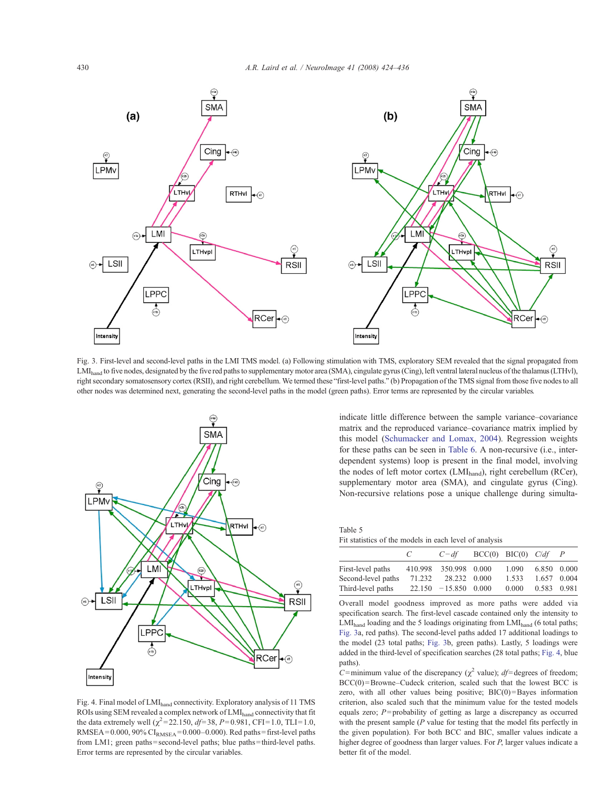

Fig. 3. First-level and second-level paths in the LMI TMS model. (a) Following stimulation with TMS, exploratory SEM revealed that the signal propagated from LMI<sub>hand</sub> to five nodes, designated by the five red paths to supplementary motor area (SMA), cingulate gyrus (Cing), left ventral lateral nucleus of the thalamus (LTHvl), right secondary somatosensory cortex (RSII), and right cerebellum. We termed these "first-level paths." (b) Propagation of the TMS signal from those five nodes to all other nodes was determined next, generating the second-level paths in the model (green paths). Error terms are represented by the circular variables.



Fig. 4. Final model of LMI<sub>hand</sub> connectivity. Exploratory analysis of 11 TMS ROIs using SEM revealed a complex network of LMI<sub>hand</sub> connectivity that fit the data extremely well ( $\chi^2$ =22.150, df=38, P=0.981, CFI=1.0, TLI=1.0, RMSEA= $0.000$ ,  $90\%$  CI<sub>RMSEA</sub>= $0.000$ - $0.000$ ). Red paths=first-level paths from LM1; green paths=second-level paths; blue paths=third-level paths. Error terms are represented by the circular variables.

indicate little difference between the sample variance–covariance matrix and the reproduced variance–covariance matrix implied by this model (Schumacker and Lomax, 2004). Regression weights for these paths can be seen in Table 6. A non-recursive (i.e., interdependent systems) loop is present in the final model, involving the nodes of left motor cortex (LMI<sub>hand</sub>), right cerebellum (RCer), supplementary motor area (SMA), and cingulate gyrus (Cing). Non-recursive relations pose a unique challenge during simulta-

Table 5

Fit statistics of the models in each level of analysis

|                    |        | $C-df$                  | $BCC(0)$ $BIC(0)$ $C/df$ |       |             |             |
|--------------------|--------|-------------------------|--------------------------|-------|-------------|-------------|
| First-level paths  |        | 410.998 350.998 0.000   |                          | 1.090 | 6.850 0.000 |             |
| Second-level paths | 71.232 | 28.232 0.000            |                          | 1.533 |             | 1.657 0.004 |
| Third-level paths  |        | $22.150 - 15.850 0.000$ |                          | 0.000 | 0.583 0.981 |             |

Overall model goodness improved as more paths were added via specification search. The first-level cascade contained only the intensity to LMI<sub>hand</sub> loading and the 5 loadings originating from LMI<sub>hand</sub> (6 total paths; Fig. 3a, red paths). The second-level paths added 17 additional loadings to the model (23 total paths; Fig. 3b, green paths). Lastly, 5 loadings were added in the third-level of specification searches (28 total paths; Fig. 4, blue paths).

C=minimum value of the discrepancy ( $\chi^2$  value); df=degrees of freedom;  $BCC(0) = Browne-Cudeck criterion, scaled such that the lowest BCC is$ zero, with all other values being positive;  $BIC(0) = Bayes$  information criterion, also scaled such that the minimum value for the tested models equals zero;  $P =$  probability of getting as large a discrepancy as occurred with the present sample  $(P$  value for testing that the model fits perfectly in the given population). For both BCC and BIC, smaller values indicate a higher degree of goodness than larger values. For P, larger values indicate a better fit of the model.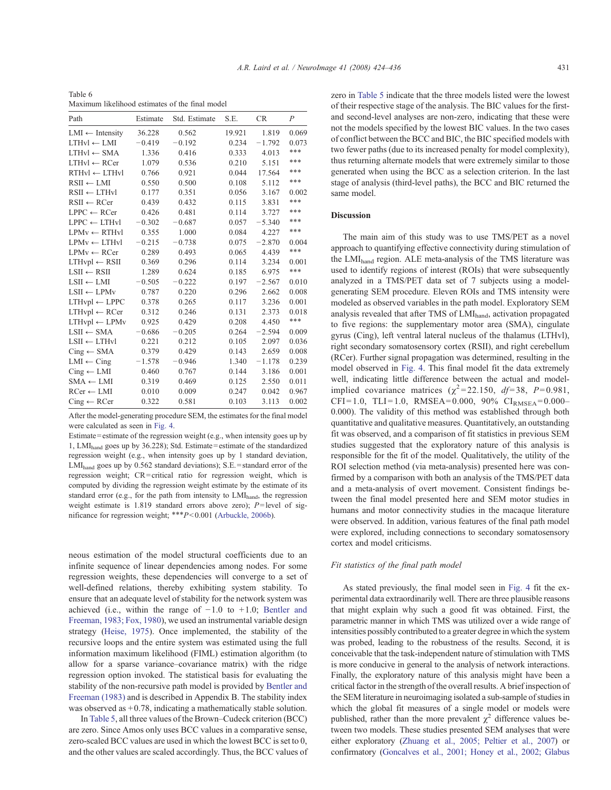Table 6 Maximum likelihood estimates of the final model

| Path                       | Estimate | Std. Estimate | S.E.   | <b>CR</b> | $\overline{P}$ |
|----------------------------|----------|---------------|--------|-----------|----------------|
| $LMI \leftarrow$ Intensity | 36.228   | 0.562         | 19.921 | 1.819     | 0.069          |
| $LTHvl \leftarrow LMI$     | $-0.419$ | $-0.192$      | 0.234  | $-1.792$  | 0.073          |
| $LTHvl \leftarrow SMA$     | 1.336    | 0.416         | 0.333  | 4.013     | ***            |
| $LTHvl \leftarrow R Cer$   | 1.079    | 0.536         | 0.210  | 5.151     | ***            |
| $RTHvl \leftarrow LTHvl$   | 0.766    | 0.921         | 0.044  | 17.564    | ***            |
| $RSII \leftarrow LMI$      | 0.550    | 0.500         | 0.108  | 5.112     | ***            |
| $RSII \leftarrow LTHVI$    | 0.177    | 0.351         | 0.056  | 3.167     | 0.002          |
| $RSII \leftarrow RCer$     | 0.439    | 0.432         | 0.115  | 3.831     | ***            |
| $LPPC \leftarrow RCer$     | 0.426    | 0.481         | 0.114  | 3.727     | ***            |
| $LPPC \leftarrow LTHvl$    | $-0.302$ | $-0.687$      | 0.057  | $-5.340$  | ***            |
| $LPMv \leftarrow RTHvl$    | 0.355    | 1.000         | 0.084  | 4.227     | ***            |
| $LPMv \leftarrow LTHvl$    | $-0.215$ | $-0.738$      | 0.075  | $-2.870$  | 0.004          |
| $LPMv \leftarrow RCer$     | 0.289    | 0.493         | 0.065  | 4.439     | ***            |
| $LTHvpl \leftarrow RSII$   | 0.369    | 0.296         | 0.114  | 3.234     | 0.001          |
| $LSII \leftarrow RSII$     | 1.289    | 0.624         | 0.185  | 6.975     | ***            |
| $LSII \leftarrow LMI$      | $-0.505$ | $-0.222$      | 0.197  | $-2.567$  | 0.010          |
| $LSII \leftarrow LPMv$     | 0.787    | 0.220         | 0.296  | 2.662     | 0.008          |
| $LTHvpl \leftarrow LPPC$   | 0.378    | 0.265         | 0.117  | 3.236     | 0.001          |
| $LTHvpl \leftarrow RCer$   | 0.312    | 0.246         | 0.131  | 2.373     | 0.018          |
| $LTHvpl \leftarrow LPMv$   | 0.925    | 0.429         | 0.208  | 4.450     | ***            |
| $LSII \leftarrow SMA$      | $-0.686$ | $-0.205$      | 0.264  | $-2.594$  | 0.009          |
| $LSII \leftarrow LTHVI$    | 0.221    | 0.212         | 0.105  | 2.097     | 0.036          |
| $Cing \leftarrow SMA$      | 0.379    | 0.429         | 0.143  | 2.659     | 0.008          |
| $LMI \leftarrow Cing$      | $-1.578$ | $-0.946$      | 1.340  | $-1.178$  | 0.239          |
| $Cing \leftarrow LMI$      | 0.460    | 0.767         | 0.144  | 3.186     | 0.001          |
| $SMA \leftarrow LMI$       | 0.319    | 0.469         | 0.125  | 2.550     | 0.011          |
| $RCer \leftarrow LMI$      | 0.010    | 0.009         | 0.247  | 0.042     | 0.967          |
| $Cing \leftarrow RCer$     | 0.322    | 0.581         | 0.103  | 3.113     | 0.002          |

After the model-generating procedure SEM, the estimates for the final model were calculated as seen in Fig. 4.

Estimate = estimate of the regression weight (e.g., when intensity goes up by 1, LMIhand goes up by 36.228); Std. Estimate = estimate of the standardized regression weight (e.g., when intensity goes up by 1 standard deviation, LMI<sub>hand</sub> goes up by 0.562 standard deviations); S.E.=standard error of the regression weight; CR=critical ratio for regression weight, which is computed by dividing the regression weight estimate by the estimate of its standard error (e.g., for the path from intensity to  $LMI<sub>hand</sub>$ , the regression weight estimate is 1.819 standard errors above zero);  $P =$ level of significance for regression weight; \*\*\*P<0.001 (Arbuckle, 2006b).

neous estimation of the model structural coefficients due to an infinite sequence of linear dependencies among nodes. For some regression weights, these dependencies will converge to a set of well-defined relations, thereby exhibiting system stability. To ensure that an adequate level of stability for the network system was achieved (i.e., within the range of  $-1.0$  to  $+1.0$ ; Bentler and Freeman, 1983; Fox, 1980), we used an instrumental variable design strategy (Heise, 1975). Once implemented, the stability of the recursive loops and the entire system was estimated using the full information maximum likelihood (FIML) estimation algorithm (to allow for a sparse variance–covariance matrix) with the ridge regression option invoked. The statistical basis for evaluating the stability of the non-recursive path model is provided by Bentler and Freeman (1983) and is described in Appendix B. The stability index was observed as  $+0.78$ , indicating a mathematically stable solution.

In Table 5, all three values of the Brown–Cudeck criterion (BCC) are zero. Since Amos only uses BCC values in a comparative sense, zero-scaled BCC values are used in which the lowest BCC is set to 0, and the other values are scaled accordingly. Thus, the BCC values of

zero in Table 5 indicate that the three models listed were the lowest of their respective stage of the analysis. The BIC values for the firstand second-level analyses are non-zero, indicating that these were not the models specified by the lowest BIC values. In the two cases of conflict between the BCC and BIC, the BIC specified models with two fewer paths (due to its increased penalty for model complexity), thus returning alternate models that were extremely similar to those generated when using the BCC as a selection criterion. In the last stage of analysis (third-level paths), the BCC and BIC returned the

#### Discussion

same model.

The main aim of this study was to use TMS/PET as a novel approach to quantifying effective connectivity during stimulation of the LMI<sub>hand</sub> region. ALE meta-analysis of the TMS literature was used to identify regions of interest (ROIs) that were subsequently analyzed in a TMS/PET data set of 7 subjects using a modelgenerating SEM procedure. Eleven ROIs and TMS intensity were modeled as observed variables in the path model. Exploratory SEM analysis revealed that after TMS of LMI<sub>hand</sub>, activation propagated to five regions: the supplementary motor area (SMA), cingulate gyrus (Cing), left ventral lateral nucleus of the thalamus (LTHvl), right secondary somatosensory cortex (RSII), and right cerebellum (RCer). Further signal propagation was determined, resulting in the model observed in Fig. 4. This final model fit the data extremely well, indicating little difference between the actual and modelimplied covariance matrices ( $\chi^2$ =22.150, df=38, P=0.981,  $CFI = 1.0$ ,  $TLI = 1.0$ ,  $RMSEA = 0.000$ ,  $90\%$   $CI_{RMSEA} = 0.000 -$ 0.000). The validity of this method was established through both quantitative and qualitative measures. Quantitatively, an outstanding fit was observed, and a comparison of fit statistics in previous SEM studies suggested that the exploratory nature of this analysis is responsible for the fit of the model. Qualitatively, the utility of the ROI selection method (via meta-analysis) presented here was confirmed by a comparison with both an analysis of the TMS/PET data and a meta-analysis of overt movement. Consistent findings between the final model presented here and SEM motor studies in humans and motor connectivity studies in the macaque literature were observed. In addition, various features of the final path model were explored, including connections to secondary somatosensory cortex and model criticisms.

# Fit statistics of the final path model

As stated previously, the final model seen in Fig. 4 fit the experimental data extraordinarily well. There are three plausible reasons that might explain why such a good fit was obtained. First, the parametric manner in which TMS was utilized over a wide range of intensities possibly contributed to a greater degree in which the system was probed, leading to the robustness of the results. Second, it is conceivable that the task-independent nature of stimulation with TMS is more conducive in general to the analysis of network interactions. Finally, the exploratory nature of this analysis might have been a critical factor in the strength of the overall results. A brief inspection of the SEM literature in neuroimaging isolated a sub-sample of studies in which the global fit measures of a single model or models were published, rather than the more prevalent  $\chi^2$  difference values between two models. These studies presented SEM analyses that were either exploratory (Zhuang et al., 2005; Peltier et al., 2007) or confirmatory (Goncalves et al., 2001; Honey et al., 2002; Glabus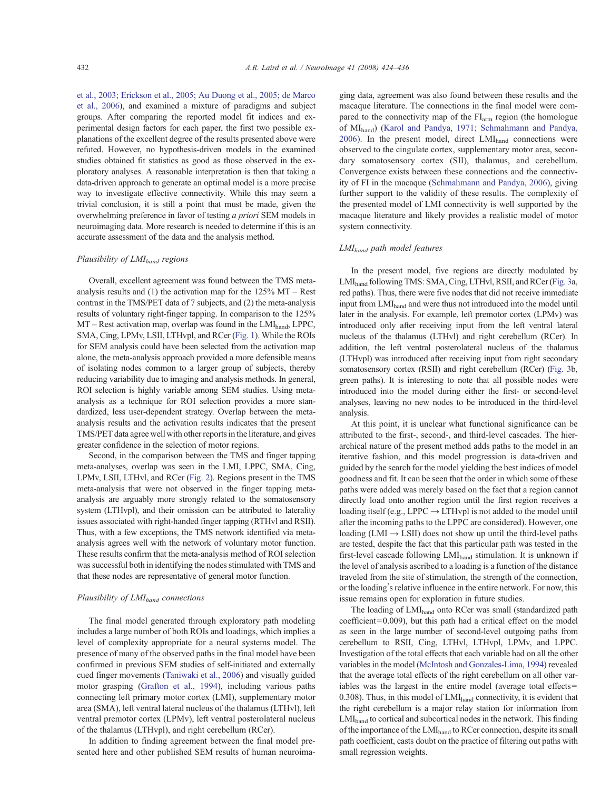et al., 2003; Erickson et al., 2005; Au Duong et al., 2005; de Marco et al., 2006), and examined a mixture of paradigms and subject groups. After comparing the reported model fit indices and experimental design factors for each paper, the first two possible explanations of the excellent degree of the results presented above were refuted. However, no hypothesis-driven models in the examined studies obtained fit statistics as good as those observed in the exploratory analyses. A reasonable interpretation is then that taking a data-driven approach to generate an optimal model is a more precise way to investigate effective connectivity. While this may seem a trivial conclusion, it is still a point that must be made, given the overwhelming preference in favor of testing a priori SEM models in neuroimaging data. More research is needed to determine if this is an accurate assessment of the data and the analysis method.

# Plausibility of  $LMI<sub>hand</sub>$  regions

Overall, excellent agreement was found between the TMS metaanalysis results and (1) the activation map for the 125% MT – Rest contrast in the TMS/PET data of 7 subjects, and (2) the meta-analysis results of voluntary right-finger tapping. In comparison to the 125%  $MT - Rest$  activation map, overlap was found in the  $LMI<sub>hand</sub>$ , LPPC, SMA, Cing, LPMv, LSII, LTHvpl, and RCer (Fig. 1). While the ROIs for SEM analysis could have been selected from the activation map alone, the meta-analysis approach provided a more defensible means of isolating nodes common to a larger group of subjects, thereby reducing variability due to imaging and analysis methods. In general, ROI selection is highly variable among SEM studies. Using metaanalysis as a technique for ROI selection provides a more standardized, less user-dependent strategy. Overlap between the metaanalysis results and the activation results indicates that the present TMS/PET data agree well with other reports in the literature, and gives greater confidence in the selection of motor regions.

Second, in the comparison between the TMS and finger tapping meta-analyses, overlap was seen in the LMI, LPPC, SMA, Cing, LPMv, LSII, LTHvl, and RCer (Fig. 2). Regions present in the TMS meta-analysis that were not observed in the finger tapping metaanalysis are arguably more strongly related to the somatosensory system (LTHvpl), and their omission can be attributed to laterality issues associated with right-handed finger tapping (RTHvl and RSII). Thus, with a few exceptions, the TMS network identified via metaanalysis agrees well with the network of voluntary motor function. These results confirm that the meta-analysis method of ROI selection was successful both in identifying the nodes stimulated with TMS and that these nodes are representative of general motor function.

### Plausibility of  $LMI_{hand}$  connections

The final model generated through exploratory path modeling includes a large number of both ROIs and loadings, which implies a level of complexity appropriate for a neural systems model. The presence of many of the observed paths in the final model have been confirmed in previous SEM studies of self-initiated and externally cued finger movements (Taniwaki et al., 2006) and visually guided motor grasping (Grafton et al., 1994), including various paths connecting left primary motor cortex (LMI), supplementary motor area (SMA), left ventral lateral nucleus of the thalamus (LTHvl), left ventral premotor cortex (LPMv), left ventral posterolateral nucleus of the thalamus (LTHvpl), and right cerebellum (RCer).

In addition to finding agreement between the final model presented here and other published SEM results of human neuroimaging data, agreement was also found between these results and the macaque literature. The connections in the final model were compared to the connectivity map of the FI<sub>arm</sub> region (the homologue of MIhand) (Karol and Pandya, 1971; Schmahmann and Pandya,  $2006$ ). In the present model, direct  $LMI<sub>hand</sub>$  connections were observed to the cingulate cortex, supplementary motor area, secondary somatosensory cortex (SII), thalamus, and cerebellum. Convergence exists between these connections and the connectivity of FI in the macaque (Schmahmann and Pandya, 2006), giving further support to the validity of these results. The complexity of the presented model of LMI connectivity is well supported by the macaque literature and likely provides a realistic model of motor system connectivity.

# LMI<sub>hand</sub> path model features

In the present model, five regions are directly modulated by LMIhand following TMS: SMA, Cing, LTHvl, RSII, and RCer (Fig. 3a, red paths). Thus, there were five nodes that did not receive immediate input from LMI<sub>hand</sub> and were thus not introduced into the model until later in the analysis. For example, left premotor cortex (LPMv) was introduced only after receiving input from the left ventral lateral nucleus of the thalamus (LTHvl) and right cerebellum (RCer). In addition, the left ventral posterolateral nucleus of the thalamus (LTHvpl) was introduced after receiving input from right secondary somatosensory cortex (RSII) and right cerebellum (RCer) (Fig. 3b, green paths). It is interesting to note that all possible nodes were introduced into the model during either the first- or second-level analyses, leaving no new nodes to be introduced in the third-level analysis.

At this point, it is unclear what functional significance can be attributed to the first-, second-, and third-level cascades. The hierarchical nature of the present method adds paths to the model in an iterative fashion, and this model progression is data-driven and guided by the search for the model yielding the best indices of model goodness and fit. It can be seen that the order in which some of these paths were added was merely based on the fact that a region cannot directly load onto another region until the first region receives a loading itself (e.g., LPPC  $\rightarrow$  LTHvpl is not added to the model until after the incoming paths to the LPPC are considered). However, one loading (LMI  $\rightarrow$  LSII) does not show up until the third-level paths are tested, despite the fact that this particular path was tested in the first-level cascade following LMI<sub>hand</sub> stimulation. It is unknown if the level of analysis ascribed to a loading is a function of the distance traveled from the site of stimulation, the strength of the connection, or the loading's relative influence in the entire network. For now, this issue remains open for exploration in future studies.

The loading of LMI<sub>hand</sub> onto RCer was small (standardized path coefficient= 0.009), but this path had a critical effect on the model as seen in the large number of second-level outgoing paths from cerebellum to RSII, Cing, LTHvl, LTHvpl, LPMv, and LPPC. Investigation of the total effects that each variable had on all the other variables in the model (McIntosh and Gonzales-Lima, 1994) revealed that the average total effects of the right cerebellum on all other variables was the largest in the entire model (average total effects= 0.308). Thus, in this model of  $LMI<sub>hand</sub>$  connectivity, it is evident that the right cerebellum is a major relay station for information from LMI<sub>hand</sub> to cortical and subcortical nodes in the network. This finding of the importance of the LMIhand to RCer connection, despite its small path coefficient, casts doubt on the practice of filtering out paths with small regression weights.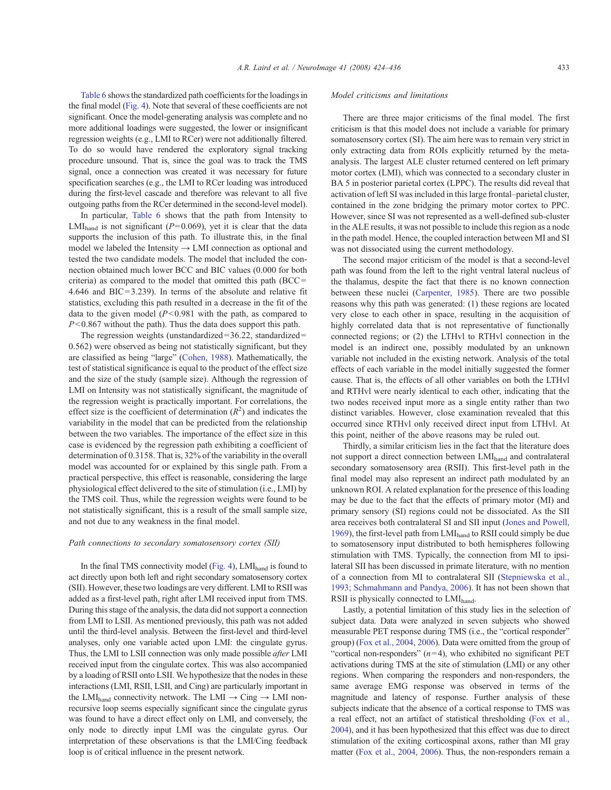Table 6 shows the standardized path coefficients for the loadings in the final model (Fig. 4). Note that several of these coefficients are not significant. Once the model-generating analysis was complete and no more additional loadings were suggested, the lower or insignificant regression weights (e.g., LMI to RCer) were not additionally filtered. To do so would have rendered the exploratory signal tracking procedure unsound. That is, since the goal was to track the TMS signal, once a connection was created it was necessary for future specification searches (e.g., the LMI to RCer loading was introduced during the first-level cascade and therefore was relevant to all five outgoing paths from the RCer determined in the second-level model).

In particular, Table 6 shows that the path from Intensity to LMI<sub>hand</sub> is not significant ( $P= 0.069$ ), yet it is clear that the data supports the inclusion of this path. To illustrate this, in the final model we labeled the Intensity → LMI connection as optional and tested the two candidate models. The model that included the connection obtained much lower BCC and BIC values (0.000 for both criteria) as compared to the model that omitted this path (BCC = 4.646 and BIC=3.239). In terms of the absolute and relative fit statistics, excluding this path resulted in a decrease in the fit of the data to the given model  $(P<0.981$  with the path, as compared to  $P<0.867$  without the path). Thus the data does support this path.

The regression weights (unstandardized  $=$  36.22, standardized  $=$ 0.562) were observed as being not statistically significant, but they are classified as being "large" (Cohen, 1988). Mathematically, the test of statistical significance is equal to the product of the effect size and the size of the study (sample size). Although the regression of LMI on Intensity was not statistically significant, the magnitude of the regression weight is practically important. For correlations, the effect size is the coefficient of determination  $(R^2)$  and indicates the variability in the model that can be predicted from the relationship between the two variables. The importance of the effect size in this case is evidenced by the regression path exhibiting a coefficient of determination of 0.3158. That is, 32% of the variability in the overall model was accounted for or explained by this single path. From a practical perspective, this effect is reasonable, considering the large physiological effect delivered to the site of stimulation (i.e., LMI) by the TMS coil. Thus, while the regression weights were found to be not statistically significant, this is a result of the small sample size, and not due to any weakness in the final model.

#### Path connections to secondary somatosensory cortex (SII)

In the final TMS connectivity model (Fig. 4),  $LMI<sub>hand</sub>$  is found to act directly upon both left and right secondary somatosensory cortex (SII). However, these two loadings are very different. LMI to RSII was added as a first-level path, right after LMI received input from TMS. During this stage of the analysis, the data did not support a connection from LMI to LSII. As mentioned previously, this path was not added until the third-level analysis. Between the first-level and third-level analyses, only one variable acted upon LMI: the cingulate gyrus. Thus, the LMI to LSII connection was only made possible after LMI received input from the cingulate cortex. This was also accompanied by a loading of RSII onto LSII. We hypothesize that the nodes in these interactions (LMI, RSII, LSII, and Cing) are particularly important in the LMI<sub>hand</sub> connectivity network. The LMI  $\rightarrow$  Cing  $\rightarrow$  LMI nonrecursive loop seems especially significant since the cingulate gyrus was found to have a direct effect only on LMI, and conversely, the only node to directly input LMI was the cingulate gyrus. Our interpretation of these observations is that the LMI/Cing feedback loop is of critical influence in the present network.

#### Model criticisms and limitations

There are three major criticisms of the final model. The first criticism is that this model does not include a variable for primary somatosensory cortex (SI). The aim here was to remain very strict in only extracting data from ROIs explicitly returned by the metaanalysis. The largest ALE cluster returned centered on left primary motor cortex (LMI), which was connected to a secondary cluster in BA 5 in posterior parietal cortex (LPPC). The results did reveal that activation of left SI was included in this large frontal–parietal cluster, contained in the zone bridging the primary motor cortex to PPC. However, since SI was not represented as a well-defined sub-cluster in the ALE results, it was not possible to include this region as a node in the path model. Hence, the coupled interaction between MI and SI was not dissociated using the current methodology.

The second major criticism of the model is that a second-level path was found from the left to the right ventral lateral nucleus of the thalamus, despite the fact that there is no known connection between these nuclei (Carpenter, 1985). There are two possible reasons why this path was generated: (1) these regions are located very close to each other in space, resulting in the acquisition of highly correlated data that is not representative of functionally connected regions; or (2) the LTHvl to RTHvl connection in the model is an indirect one, possibly modulated by an unknown variable not included in the existing network. Analysis of the total effects of each variable in the model initially suggested the former cause. That is, the effects of all other variables on both the LTHvl and RTHvl were nearly identical to each other, indicating that the two nodes received input more as a single entity rather than two distinct variables. However, close examination revealed that this occurred since RTHvl only received direct input from LTHvl. At this point, neither of the above reasons may be ruled out.

Thirdly, a similar criticism lies in the fact that the literature does not support a direct connection between LMI<sub>hand</sub> and contralateral secondary somatosensory area (RSII). This first-level path in the final model may also represent an indirect path modulated by an unknown ROI. A related explanation for the presence of this loading may be due to the fact that the effects of primary motor (MI) and primary sensory (SI) regions could not be dissociated. As the SII area receives both contralateral SI and SII input (Jones and Powell, 1969), the first-level path from LMI<sub>hand</sub> to RSII could simply be due to somatosensory input distributed to both hemispheres following stimulation with TMS. Typically, the connection from MI to ipsilateral SII has been discussed in primate literature, with no mention of a connection from MI to contralateral SII (Stepniewska et al., 1993; Schmahmann and Pandya, 2006). It has not been shown that RSII is physically connected to LMI<sub>hand</sub>.

Lastly, a potential limitation of this study lies in the selection of subject data. Data were analyzed in seven subjects who showed measurable PET response during TMS (i.e., the "cortical responder" group) (Fox et al., 2004, 2006). Data were omitted from the group of "cortical non-responders"  $(n=4)$ , who exhibited no significant PET activations during TMS at the site of stimulation (LMI) or any other regions. When comparing the responders and non-responders, the same average EMG response was observed in terms of the magnitude and latency of response. Further analysis of these subjects indicate that the absence of a cortical response to TMS was a real effect, not an artifact of statistical thresholding (Fox et al., 2004), and it has been hypothesized that this effect was due to direct stimulation of the exiting corticospinal axons, rather than MI gray matter (Fox et al., 2004, 2006). Thus, the non-responders remain a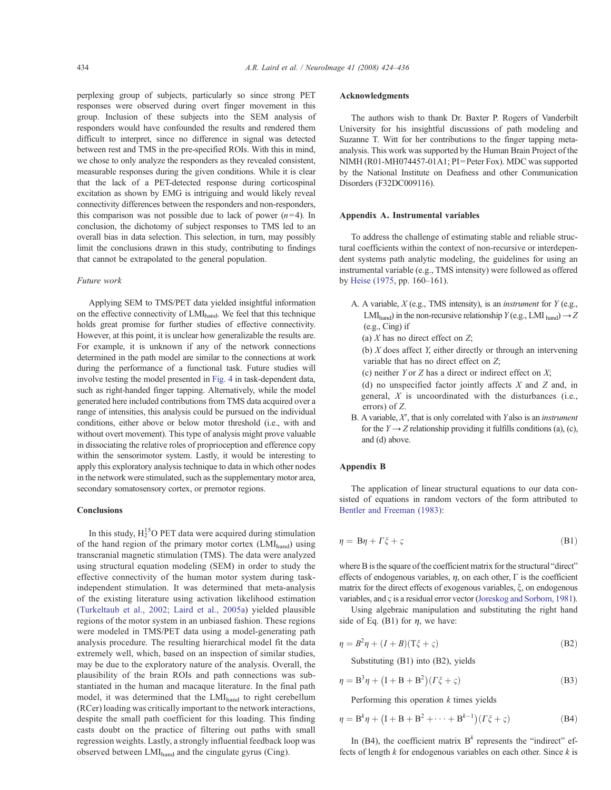perplexing group of subjects, particularly so since strong PET responses were observed during overt finger movement in this group. Inclusion of these subjects into the SEM analysis of responders would have confounded the results and rendered them difficult to interpret, since no difference in signal was detected between rest and TMS in the pre-specified ROIs. With this in mind, we chose to only analyze the responders as they revealed consistent, measurable responses during the given conditions. While it is clear that the lack of a PET-detected response during corticospinal excitation as shown by EMG is intriguing and would likely reveal connectivity differences between the responders and non-responders, this comparison was not possible due to lack of power  $(n=4)$ . In conclusion, the dichotomy of subject responses to TMS led to an overall bias in data selection. This selection, in turn, may possibly limit the conclusions drawn in this study, contributing to findings that cannot be extrapolated to the general population.

#### Future work

Applying SEM to TMS/PET data yielded insightful information on the effective connectivity of LMI<sub>hand</sub>. We feel that this technique holds great promise for further studies of effective connectivity. However, at this point, it is unclear how generalizable the results are. For example, it is unknown if any of the network connections determined in the path model are similar to the connections at work during the performance of a functional task. Future studies will involve testing the model presented in Fig. 4 in task-dependent data, such as right-handed finger tapping. Alternatively, while the model generated here included contributions from TMS data acquired over a range of intensities, this analysis could be pursued on the individual conditions, either above or below motor threshold (i.e., with and without overt movement). This type of analysis might prove valuable in dissociating the relative roles of proprioception and efference copy within the sensorimotor system. Lastly, it would be interesting to apply this exploratory analysis technique to data in which other nodes in the network were stimulated, such as the supplementary motor area, secondary somatosensory cortex, or premotor regions.

# **Conclusions**

In this study,  $H_2^{15}O$  PET data were acquired during stimulation of the hand region of the primary motor cortex (LMI<sub>hand</sub>) using transcranial magnetic stimulation (TMS). The data were analyzed using structural equation modeling (SEM) in order to study the effective connectivity of the human motor system during taskindependent stimulation. It was determined that meta-analysis of the existing literature using activation likelihood estimation (Turkeltaub et al., 2002; Laird et al., 2005a) yielded plausible regions of the motor system in an unbiased fashion. These regions were modeled in TMS/PET data using a model-generating path analysis procedure. The resulting hierarchical model fit the data extremely well, which, based on an inspection of similar studies, may be due to the exploratory nature of the analysis. Overall, the plausibility of the brain ROIs and path connections was substantiated in the human and macaque literature. In the final path model, it was determined that the LMI<sub>hand</sub> to right cerebellum (RCer) loading was critically important to the network interactions, despite the small path coefficient for this loading. This finding casts doubt on the practice of filtering out paths with small regression weights. Lastly, a strongly influential feedback loop was observed between LMI<sub>hand</sub> and the cingulate gyrus (Cing).

#### Acknowledgments

The authors wish to thank Dr. Baxter P. Rogers of Vanderbilt University for his insightful discussions of path modeling and Suzanne T. Witt for her contributions to the finger tapping metaanalysis. This work was supported by the Human Brain Project of the NIMH (R01-MH074457-01A1; PI= Peter Fox). MDC was supported by the National Institute on Deafness and other Communication Disorders (F32DC009116).

### Appendix A. Instrumental variables

To address the challenge of estimating stable and reliable structural coefficients within the context of non-recursive or interdependent systems path analytic modeling, the guidelines for using an instrumental variable (e.g., TMS intensity) were followed as offered by Heise (1975, pp. 160–161).

- A. A variable,  $X$  (e.g., TMS intensity), is an *instrument* for  $Y$  (e.g., LMI<sub>hand</sub>) in the non-recursive relationship  $Y$  (e.g., LMI <sub>hand</sub>)  $\rightarrow$  Z (e.g., Cing) if
	- (a)  $X$  has no direct effect on  $Z$ ;

(b)  $X$  does affect  $Y$ , either directly or through an intervening variable that has no direct effect on Z;

- (c) neither  $Y$  or  $Z$  has a direct or indirect effect on  $X$ ;
- (d) no unspecified factor jointly affects  $X$  and  $Z$  and, in general,  $X$  is uncoordinated with the disturbances (i.e., errors) of Z.
- B. A variable,  $X'$ , that is only correlated with Yalso is an *instrument* for the  $Y \rightarrow Z$  relationship providing it fulfills conditions (a), (c), and (d) above.

# Appendix B

The application of linear structural equations to our data consisted of equations in random vectors of the form attributed to Bentler and Freeman (1983):

$$
\eta = B\eta + \Gamma\xi + \varsigma \tag{B1}
$$

where B is the square of the coefficient matrix for the structural "direct" effects of endogenous variables,  $\eta$ , on each other,  $\Gamma$  is the coefficient matrix for the direct effects of exogenous variables, ξ, on endogenous variables, and  $\varsigma$  is a residual error vector (Joreskog and Sorbom, 1981).

Using algebraic manipulation and substituting the right hand side of Eq. (B1) for  $\eta$ , we have:

$$
\eta = B^2 \eta + (I + B)(\mathbf{T}\xi + \varsigma) \tag{B2}
$$

Substituting (B1) into (B2), yields

$$
\eta = \mathbf{B}^3 \eta + \left(\mathbf{I} + \mathbf{B} + \mathbf{B}^2\right) \left(\Gamma \xi + \varsigma\right) \tag{B3}
$$

Performing this operation  $k$  times yields

$$
\eta = \mathbf{B}^k \eta + \left(\mathbf{I} + \mathbf{B} + \mathbf{B}^2 + \cdots + \mathbf{B}^{k-1}\right) (\Gamma \zeta + \zeta) \tag{B4}
$$

In (B4), the coefficient matrix  $B^k$  represents the "indirect" effects of length  $k$  for endogenous variables on each other. Since  $k$  is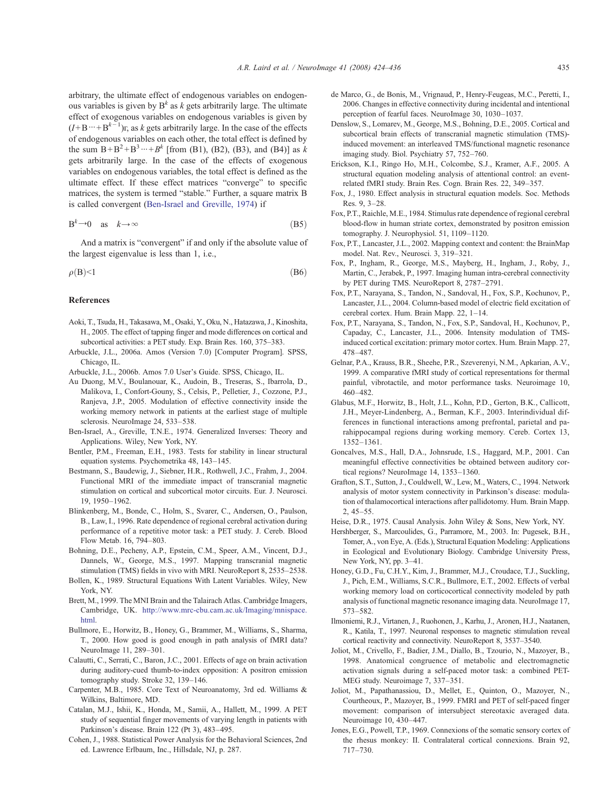arbitrary, the ultimate effect of endogenous variables on endogenous variables is given by  $B^k$  as k gets arbitrarily large. The ultimate effect of exogenous variables on endogenous variables is given by  $(I + B \cdots + B^{k-1})$ r, as k gets arbitrarily large. In the case of the effects of endogenous variables on each other, the total effect is defined by the sum  $B + B^2 + B^3 + B^k$  [from (B1), (B2), (B3), and (B4)] as k gets arbitrarily large. In the case of the effects of exogenous variables on endogenous variables, the total effect is defined as the ultimate effect. If these effect matrices "converge" to specific matrices, the system is termed "stable." Further, a square matrix B is called convergent (Ben-Israel and Greville, 1974) if

$$
B^k \to 0 \quad \text{as} \quad k \to \infty \tag{B5}
$$

And a matrix is "convergent" if and only if the absolute value of the largest eigenvalue is less than 1, i.e.,

$$
\rho(B) < 1 \tag{B6}
$$

#### References

- Aoki, T., Tsuda, H., Takasawa, M., Osaki, Y., Oku, N., Hatazawa, J., Kinoshita, H., 2005. The effect of tapping finger and mode differences on cortical and subcortical activities: a PET study. Exp. Brain Res. 160, 375–383.
- Arbuckle, J.L., 2006a. Amos (Version 7.0) [Computer Program]. SPSS, Chicago, IL.
- Arbuckle, J.L., 2006b. Amos 7.0 User's Guide. SPSS, Chicago, IL.
- Au Duong, M.V., Boulanouar, K., Audoin, B., Treseras, S., Ibarrola, D., Malikova, I., Confort-Gouny, S., Celsis, P., Pelletier, J., Cozzone, P.J., Ranjeva, J.P., 2005. Modulation of effective connectivity inside the working memory network in patients at the earliest stage of multiple sclerosis. NeuroImage 24, 533–538.
- Ben-Israel, A., Greville, T.N.E., 1974. Generalized Inverses: Theory and Applications. Wiley, New York, NY.
- Bentler, P.M., Freeman, E.H., 1983. Tests for stability in linear structural equation systems. Psychometrika 48, 143–145.
- Bestmann, S., Baudewig, J., Siebner, H.R., Rothwell, J.C., Frahm, J., 2004. Functional MRI of the immediate impact of transcranial magnetic stimulation on cortical and subcortical motor circuits. Eur. J. Neurosci. 19, 1950–1962.
- Blinkenberg, M., Bonde, C., Holm, S., Svarer, C., Andersen, O., Paulson, B., Law, I., 1996. Rate dependence of regional cerebral activation during performance of a repetitive motor task: a PET study. J. Cereb. Blood Flow Metab. 16, 794–803.
- Bohning, D.E., Pecheny, A.P., Epstein, C.M., Speer, A.M., Vincent, D.J., Dannels, W., George, M.S., 1997. Mapping transcranial magnetic stimulation (TMS) fields in vivo with MRI. NeuroReport 8, 2535–2538.
- Bollen, K., 1989. Structural Equations With Latent Variables. Wiley, New York, NY.
- Brett, M., 1999. The MNI Brain and the Talairach Atlas. Cambridge Imagers, Cambridge, UK. http://www.mrc-cbu.cam.ac.uk/Imaging/mnispace. html.
- Bullmore, E., Horwitz, B., Honey, G., Brammer, M., Williams, S., Sharma, T., 2000. How good is good enough in path analysis of fMRI data? NeuroImage 11, 289–301.
- Calautti, C., Serrati, C., Baron, J.C., 2001. Effects of age on brain activation during auditory-cued thumb-to-index opposition: A positron emission tomography study. Stroke 32, 139–146.
- Carpenter, M.B., 1985. Core Text of Neuroanatomy, 3rd ed. Williams & Wilkins, Baltimore, MD.
- Catalan, M.J., Ishii, K., Honda, M., Samii, A., Hallett, M., 1999. A PET study of sequential finger movements of varying length in patients with Parkinson's disease. Brain 122 (Pt 3), 483–495.
- Cohen, J., 1988. Statistical Power Analysis for the Behavioral Sciences, 2nd ed. Lawrence Erlbaum, Inc., Hillsdale, NJ, p. 287.
- de Marco, G., de Bonis, M., Vrignaud, P., Henry-Feugeas, M.C., Peretti, I., 2006. Changes in effective connectivity during incidental and intentional perception of fearful faces. NeuroImage 30, 1030–1037.
- Denslow, S., Lomarev, M., George, M.S., Bohning, D.E., 2005. Cortical and subcortical brain effects of transcranial magnetic stimulation (TMS) induced movement: an interleaved TMS/functional magnetic resonance imaging study. Biol. Psychiatry 57, 752–760.
- Erickson, K.I., Ringo Ho, M.H., Colcombe, S.J., Kramer, A.F., 2005. A structural equation modeling analysis of attentional control: an eventrelated fMRI study. Brain Res. Cogn. Brain Res. 22, 349–357.
- Fox, J., 1980. Effect analysis in structural equation models. Soc. Methods Res. 9, 3–28.
- Fox, P.T., Raichle, M.E., 1984. Stimulus rate dependence of regional cerebral blood-flow in human striate cortex, demonstrated by positron emission tomography. J. Neurophysiol. 51, 1109–1120.
- Fox, P.T., Lancaster, J.L., 2002. Mapping context and content: the BrainMap model. Nat. Rev., Neurosci. 3, 319–321.
- Fox, P., Ingham, R., George, M.S., Mayberg, H., Ingham, J., Roby, J., Martin, C., Jerabek, P., 1997. Imaging human intra-cerebral connectivity by PET during TMS. NeuroReport 8, 2787–2791.
- Fox, P.T., Narayana, S., Tandon, N., Sandoval, H., Fox, S.P., Kochunov, P., Lancaster, J.L., 2004. Column-based model of electric field excitation of cerebral cortex. Hum. Brain Mapp. 22, 1–14.
- Fox, P.T., Narayana, S., Tandon, N., Fox, S.P., Sandoval, H., Kochunov, P., Capaday, C., Lancaster, J.L., 2006. Intensity modulation of TMSinduced cortical excitation: primary motor cortex. Hum. Brain Mapp. 27, 478–487.
- Gelnar, P.A., Krauss, B.R., Sheehe, P.R., Szeverenyi, N.M., Apkarian, A.V., 1999. A comparative fMRI study of cortical representations for thermal painful, vibrotactile, and motor performance tasks. Neuroimage 10, 460–482.
- Glabus, M.F., Horwitz, B., Holt, J.L., Kohn, P.D., Gerton, B.K., Callicott, J.H., Meyer-Lindenberg, A., Berman, K.F., 2003. Interindividual differences in functional interactions among prefrontal, parietal and parahippocampal regions during working memory. Cereb. Cortex 13, 1352–1361.
- Goncalves, M.S., Hall, D.A., Johnsrude, I.S., Haggard, M.P., 2001. Can meaningful effective connectivities be obtained between auditory cortical regions? NeuroImage 14, 1353–1360.
- Grafton, S.T., Sutton, J., Couldwell, W., Lew, M., Waters, C., 1994. Network analysis of motor system connectivity in Parkinson's disease: modulation of thalamocortical interactions after pallidotomy. Hum. Brain Mapp. 2, 45–55.
- Heise, D.R., 1975. Causal Analysis. John Wiley & Sons, New York, NY.
- Hershberger, S., Marcoulides, G., Parramore, M., 2003. In: Pugesek, B.H., Tomer, A., von Eye, A. (Eds.), Structural Equation Modeling: Applications in Ecological and Evolutionary Biology. Cambridge University Press, New York, NY, pp. 3–41.
- Honey, G.D., Fu, C.H.Y., Kim, J., Brammer, M.J., Croudace, T.J., Suckling, J., Pich, E.M., Williams, S.C.R., Bullmore, E.T., 2002. Effects of verbal working memory load on corticocortical connectivity modeled by path analysis of functional magnetic resonance imaging data. NeuroImage 17, 573–582.
- Ilmoniemi, R.J., Virtanen, J., Ruohonen, J., Karhu, J., Aronen, H.J., Naatanen, R., Katila, T., 1997. Neuronal responses to magnetic stimulation reveal cortical reactivity and connectivity. NeuroReport 8, 3537–3540.
- Joliot, M., Crivello, F., Badier, J.M., Diallo, B., Tzourio, N., Mazoyer, B., 1998. Anatomical congruence of metabolic and electromagnetic activation signals during a self-paced motor task: a combined PET-MEG study. Neuroimage 7, 337–351.
- Joliot, M., Papathanassiou, D., Mellet, E., Quinton, O., Mazoyer, N., Courtheoux, P., Mazoyer, B., 1999. FMRI and PET of self-paced finger movement: comparison of intersubject stereotaxic averaged data. Neuroimage 10, 430–447.
- Jones, E.G., Powell, T.P., 1969. Connexions of the somatic sensory cortex of the rhesus monkey: II. Contralateral cortical connexions. Brain 92, 717–730.